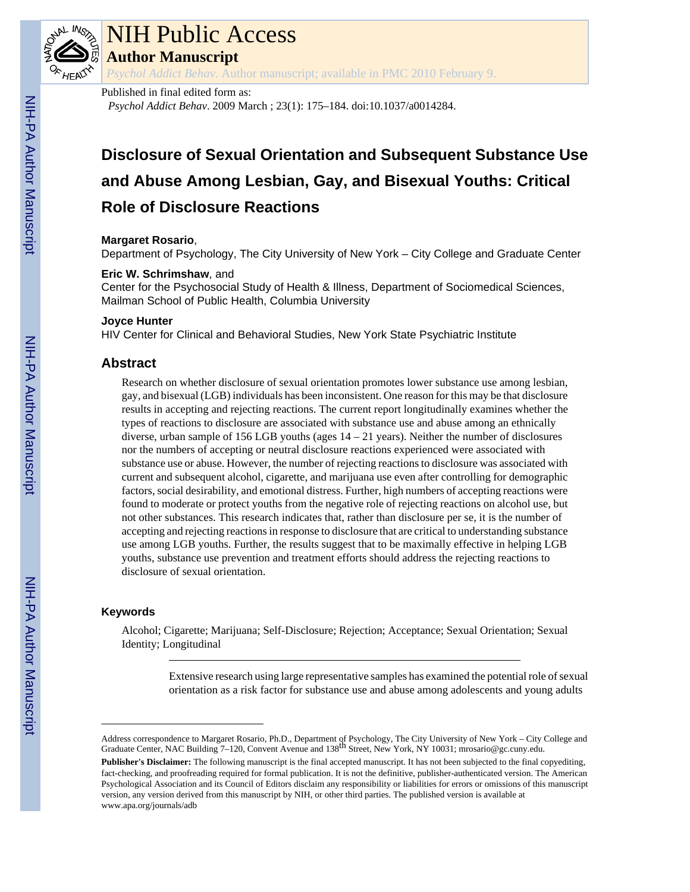

## NIH Public Access

**Author Manuscript**

*Psychol Addict Behav*. Author manuscript; available in PMC 2010 February 9.

#### Published in final edited form as:

*Psychol Addict Behav*. 2009 March ; 23(1): 175–184. doi:10.1037/a0014284.

### **Disclosure of Sexual Orientation and Subsequent Substance Use and Abuse Among Lesbian, Gay, and Bisexual Youths: Critical Role of Disclosure Reactions**

#### **Margaret Rosario**,

Department of Psychology, The City University of New York – City College and Graduate Center

#### **Eric W. Schrimshaw**, and

Center for the Psychosocial Study of Health & Illness, Department of Sociomedical Sciences, Mailman School of Public Health, Columbia University

#### **Joyce Hunter**

HIV Center for Clinical and Behavioral Studies, New York State Psychiatric Institute

#### **Abstract**

Research on whether disclosure of sexual orientation promotes lower substance use among lesbian, gay, and bisexual (LGB) individuals has been inconsistent. One reason for this may be that disclosure results in accepting and rejecting reactions. The current report longitudinally examines whether the types of reactions to disclosure are associated with substance use and abuse among an ethnically diverse, urban sample of 156 LGB youths (ages  $14 - 21$  years). Neither the number of disclosures nor the numbers of accepting or neutral disclosure reactions experienced were associated with substance use or abuse. However, the number of rejecting reactions to disclosure was associated with current and subsequent alcohol, cigarette, and marijuana use even after controlling for demographic factors, social desirability, and emotional distress. Further, high numbers of accepting reactions were found to moderate or protect youths from the negative role of rejecting reactions on alcohol use, but not other substances. This research indicates that, rather than disclosure per se, it is the number of accepting and rejecting reactions in response to disclosure that are critical to understanding substance use among LGB youths. Further, the results suggest that to be maximally effective in helping LGB youths, substance use prevention and treatment efforts should address the rejecting reactions to disclosure of sexual orientation.

#### **Keywords**

Alcohol; Cigarette; Marijuana; Self-Disclosure; Rejection; Acceptance; Sexual Orientation; Sexual Identity; Longitudinal

> Extensive research using large representative samples has examined the potential role of sexual orientation as a risk factor for substance use and abuse among adolescents and young adults

Address correspondence to Margaret Rosario, Ph.D., Department of Psychology, The City University of New York – City College and<br>Graduate Center, NAC Building 7–120, Convent Avenue and 138<sup>th</sup> Street, New York, NY 10031; mr

**Publisher's Disclaimer:** The following manuscript is the final accepted manuscript. It has not been subjected to the final copyediting, fact-checking, and proofreading required for formal publication. It is not the definitive, publisher-authenticated version. The American Psychological Association and its Council of Editors disclaim any responsibility or liabilities for errors or omissions of this manuscript version, any version derived from this manuscript by NIH, or other third parties. The published version is available at www.apa.org/journals/adb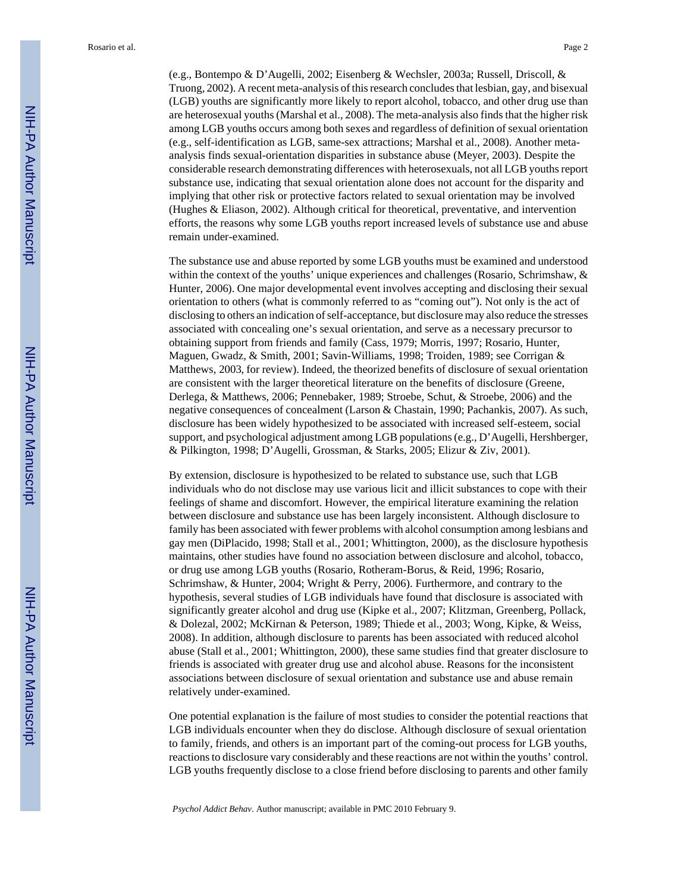(e.g., Bontempo & D'Augelli, 2002; Eisenberg & Wechsler, 2003a; Russell, Driscoll, & Truong, 2002). A recent meta-analysis of this research concludes that lesbian, gay, and bisexual (LGB) youths are significantly more likely to report alcohol, tobacco, and other drug use than are heterosexual youths (Marshal et al., 2008). The meta-analysis also finds that the higher risk among LGB youths occurs among both sexes and regardless of definition of sexual orientation (e.g., self-identification as LGB, same-sex attractions; Marshal et al., 2008). Another metaanalysis finds sexual-orientation disparities in substance abuse (Meyer, 2003). Despite the considerable research demonstrating differences with heterosexuals, not all LGB youths report substance use, indicating that sexual orientation alone does not account for the disparity and implying that other risk or protective factors related to sexual orientation may be involved (Hughes & Eliason, 2002). Although critical for theoretical, preventative, and intervention efforts, the reasons why some LGB youths report increased levels of substance use and abuse remain under-examined.

The substance use and abuse reported by some LGB youths must be examined and understood within the context of the youths' unique experiences and challenges (Rosario, Schrimshaw, & Hunter, 2006). One major developmental event involves accepting and disclosing their sexual orientation to others (what is commonly referred to as "coming out"). Not only is the act of disclosing to others an indication of self-acceptance, but disclosure may also reduce the stresses associated with concealing one's sexual orientation, and serve as a necessary precursor to obtaining support from friends and family (Cass, 1979; Morris, 1997; Rosario, Hunter, Maguen, Gwadz, & Smith, 2001; Savin-Williams, 1998; Troiden, 1989; see Corrigan & Matthews, 2003, for review). Indeed, the theorized benefits of disclosure of sexual orientation are consistent with the larger theoretical literature on the benefits of disclosure (Greene, Derlega, & Matthews, 2006; Pennebaker, 1989; Stroebe, Schut, & Stroebe, 2006) and the negative consequences of concealment (Larson & Chastain, 1990; Pachankis, 2007). As such, disclosure has been widely hypothesized to be associated with increased self-esteem, social support, and psychological adjustment among LGB populations (e.g., D'Augelli, Hershberger, & Pilkington, 1998; D'Augelli, Grossman, & Starks, 2005; Elizur & Ziv, 2001).

By extension, disclosure is hypothesized to be related to substance use, such that LGB individuals who do not disclose may use various licit and illicit substances to cope with their feelings of shame and discomfort. However, the empirical literature examining the relation between disclosure and substance use has been largely inconsistent. Although disclosure to family has been associated with fewer problems with alcohol consumption among lesbians and gay men (DiPlacido, 1998; Stall et al., 2001; Whittington, 2000), as the disclosure hypothesis maintains, other studies have found no association between disclosure and alcohol, tobacco, or drug use among LGB youths (Rosario, Rotheram-Borus, & Reid, 1996; Rosario, Schrimshaw, & Hunter, 2004; Wright & Perry, 2006). Furthermore, and contrary to the hypothesis, several studies of LGB individuals have found that disclosure is associated with significantly greater alcohol and drug use (Kipke et al., 2007; Klitzman, Greenberg, Pollack, & Dolezal, 2002; McKirnan & Peterson, 1989; Thiede et al., 2003; Wong, Kipke, & Weiss, 2008). In addition, although disclosure to parents has been associated with reduced alcohol abuse (Stall et al., 2001; Whittington, 2000), these same studies find that greater disclosure to friends is associated with greater drug use and alcohol abuse. Reasons for the inconsistent associations between disclosure of sexual orientation and substance use and abuse remain relatively under-examined.

One potential explanation is the failure of most studies to consider the potential reactions that LGB individuals encounter when they do disclose. Although disclosure of sexual orientation to family, friends, and others is an important part of the coming-out process for LGB youths, reactions to disclosure vary considerably and these reactions are not within the youths' control. LGB youths frequently disclose to a close friend before disclosing to parents and other family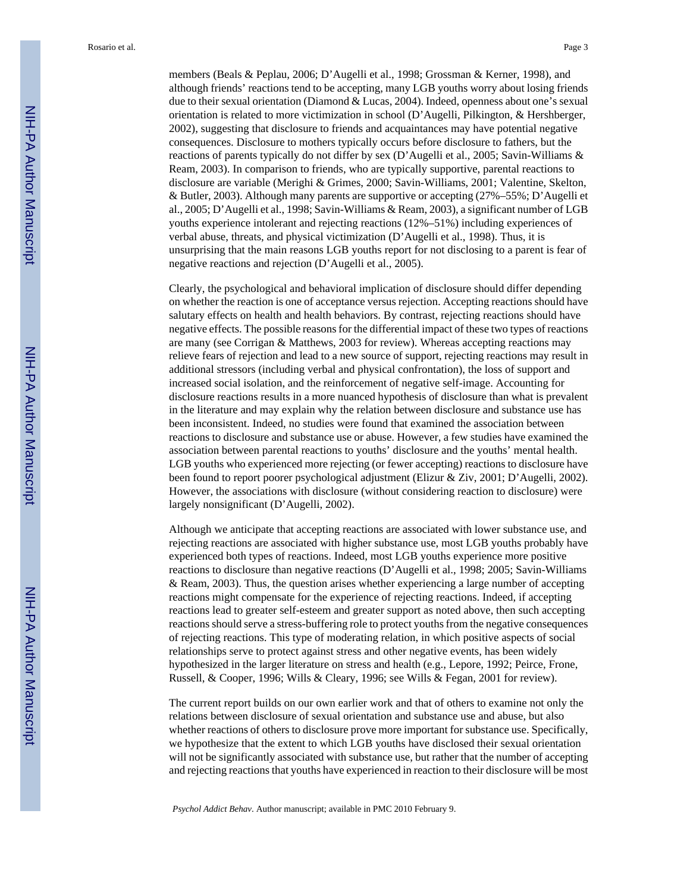members (Beals & Peplau, 2006; D'Augelli et al., 1998; Grossman & Kerner, 1998), and although friends' reactions tend to be accepting, many LGB youths worry about losing friends due to their sexual orientation (Diamond & Lucas, 2004). Indeed, openness about one's sexual orientation is related to more victimization in school (D'Augelli, Pilkington, & Hershberger, 2002), suggesting that disclosure to friends and acquaintances may have potential negative consequences. Disclosure to mothers typically occurs before disclosure to fathers, but the reactions of parents typically do not differ by sex (D'Augelli et al., 2005; Savin-Williams & Ream, 2003). In comparison to friends, who are typically supportive, parental reactions to disclosure are variable (Merighi & Grimes, 2000; Savin-Williams, 2001; Valentine, Skelton, & Butler, 2003). Although many parents are supportive or accepting (27%–55%; D'Augelli et al., 2005; D'Augelli et al., 1998; Savin-Williams & Ream, 2003), a significant number of LGB youths experience intolerant and rejecting reactions (12%–51%) including experiences of verbal abuse, threats, and physical victimization (D'Augelli et al., 1998). Thus, it is unsurprising that the main reasons LGB youths report for not disclosing to a parent is fear of negative reactions and rejection (D'Augelli et al., 2005).

Clearly, the psychological and behavioral implication of disclosure should differ depending on whether the reaction is one of acceptance versus rejection. Accepting reactions should have salutary effects on health and health behaviors. By contrast, rejecting reactions should have negative effects. The possible reasons for the differential impact of these two types of reactions are many (see Corrigan & Matthews, 2003 for review). Whereas accepting reactions may relieve fears of rejection and lead to a new source of support, rejecting reactions may result in additional stressors (including verbal and physical confrontation), the loss of support and increased social isolation, and the reinforcement of negative self-image. Accounting for disclosure reactions results in a more nuanced hypothesis of disclosure than what is prevalent in the literature and may explain why the relation between disclosure and substance use has been inconsistent. Indeed, no studies were found that examined the association between reactions to disclosure and substance use or abuse. However, a few studies have examined the association between parental reactions to youths' disclosure and the youths' mental health. LGB youths who experienced more rejecting (or fewer accepting) reactions to disclosure have been found to report poorer psychological adjustment (Elizur & Ziv, 2001; D'Augelli, 2002). However, the associations with disclosure (without considering reaction to disclosure) were largely nonsignificant (D'Augelli, 2002).

Although we anticipate that accepting reactions are associated with lower substance use, and rejecting reactions are associated with higher substance use, most LGB youths probably have experienced both types of reactions. Indeed, most LGB youths experience more positive reactions to disclosure than negative reactions (D'Augelli et al., 1998; 2005; Savin-Williams & Ream, 2003). Thus, the question arises whether experiencing a large number of accepting reactions might compensate for the experience of rejecting reactions. Indeed, if accepting reactions lead to greater self-esteem and greater support as noted above, then such accepting reactions should serve a stress-buffering role to protect youths from the negative consequences of rejecting reactions. This type of moderating relation, in which positive aspects of social relationships serve to protect against stress and other negative events, has been widely hypothesized in the larger literature on stress and health (e.g., Lepore, 1992; Peirce, Frone, Russell, & Cooper, 1996; Wills & Cleary, 1996; see Wills & Fegan, 2001 for review).

The current report builds on our own earlier work and that of others to examine not only the relations between disclosure of sexual orientation and substance use and abuse, but also whether reactions of others to disclosure prove more important for substance use. Specifically, we hypothesize that the extent to which LGB youths have disclosed their sexual orientation will not be significantly associated with substance use, but rather that the number of accepting and rejecting reactions that youths have experienced in reaction to their disclosure will be most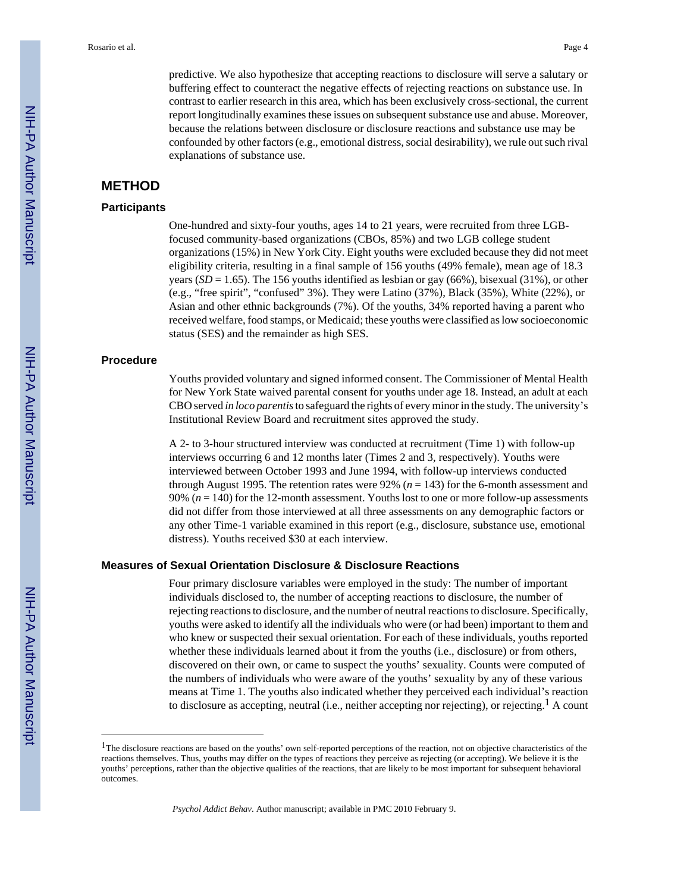predictive. We also hypothesize that accepting reactions to disclosure will serve a salutary or buffering effect to counteract the negative effects of rejecting reactions on substance use. In contrast to earlier research in this area, which has been exclusively cross-sectional, the current report longitudinally examines these issues on subsequent substance use and abuse. Moreover, because the relations between disclosure or disclosure reactions and substance use may be confounded by other factors (e.g., emotional distress, social desirability), we rule out such rival explanations of substance use.

#### **METHOD**

#### **Participants**

One-hundred and sixty-four youths, ages 14 to 21 years, were recruited from three LGBfocused community-based organizations (CBOs, 85%) and two LGB college student organizations (15%) in New York City. Eight youths were excluded because they did not meet eligibility criteria, resulting in a final sample of 156 youths (49% female), mean age of 18.3 years ( $SD = 1.65$ ). The 156 youths identified as lesbian or gay ( $66\%$ ), bisexual (31%), or other (e.g., "free spirit", "confused" 3%). They were Latino (37%), Black (35%), White (22%), or Asian and other ethnic backgrounds (7%). Of the youths, 34% reported having a parent who received welfare, food stamps, or Medicaid; these youths were classified as low socioeconomic status (SES) and the remainder as high SES.

#### **Procedure**

Youths provided voluntary and signed informed consent. The Commissioner of Mental Health for New York State waived parental consent for youths under age 18. Instead, an adult at each CBO served *in loco parentis* to safeguard the rights of every minor in the study. The university's Institutional Review Board and recruitment sites approved the study.

A 2- to 3-hour structured interview was conducted at recruitment (Time 1) with follow-up interviews occurring 6 and 12 months later (Times 2 and 3, respectively). Youths were interviewed between October 1993 and June 1994, with follow-up interviews conducted through August 1995. The retention rates were  $92\%$  ( $n = 143$ ) for the 6-month assessment and 90% (*n* = 140) for the 12-month assessment. Youths lost to one or more follow-up assessments did not differ from those interviewed at all three assessments on any demographic factors or any other Time-1 variable examined in this report (e.g., disclosure, substance use, emotional distress). Youths received \$30 at each interview.

#### **Measures of Sexual Orientation Disclosure & Disclosure Reactions**

Four primary disclosure variables were employed in the study: The number of important individuals disclosed to, the number of accepting reactions to disclosure, the number of rejecting reactions to disclosure, and the number of neutral reactions to disclosure. Specifically, youths were asked to identify all the individuals who were (or had been) important to them and who knew or suspected their sexual orientation. For each of these individuals, youths reported whether these individuals learned about it from the youths (i.e., disclosure) or from others, discovered on their own, or came to suspect the youths' sexuality. Counts were computed of the numbers of individuals who were aware of the youths' sexuality by any of these various means at Time 1. The youths also indicated whether they perceived each individual's reaction to disclosure as accepting, neutral (i.e., neither accepting nor rejecting), or rejecting.<sup>1</sup> A count

<sup>&</sup>lt;sup>1</sup>The disclosure reactions are based on the youths' own self-reported perceptions of the reaction, not on objective characteristics of the reactions themselves. Thus, youths may differ on the types of reactions they perceive as rejecting (or accepting). We believe it is the youths' perceptions, rather than the objective qualities of the reactions, that are likely to be most important for subsequent behavioral outcomes.

*Psychol Addict Behav*. Author manuscript; available in PMC 2010 February 9.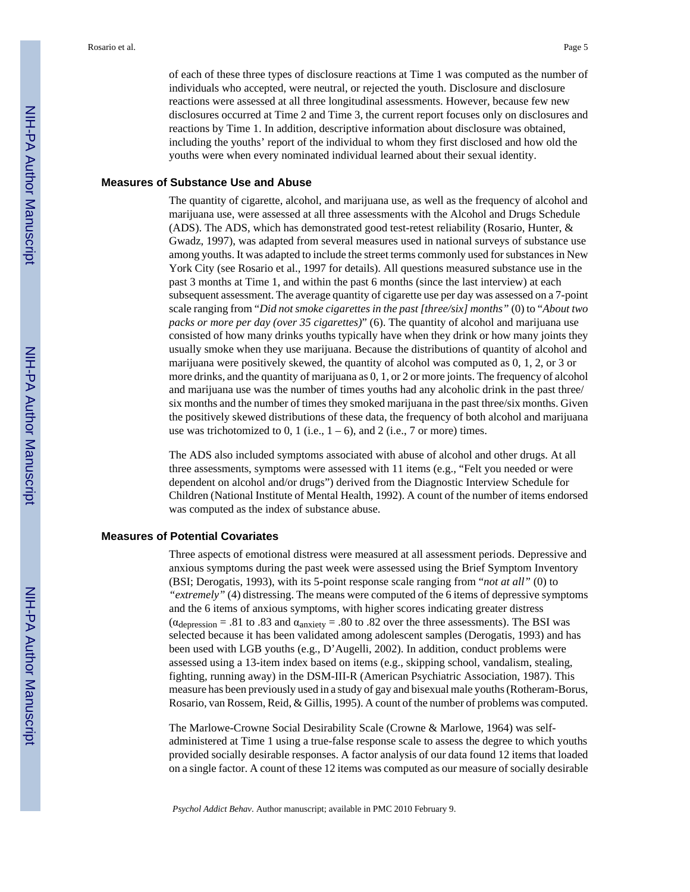of each of these three types of disclosure reactions at Time 1 was computed as the number of individuals who accepted, were neutral, or rejected the youth. Disclosure and disclosure reactions were assessed at all three longitudinal assessments. However, because few new disclosures occurred at Time 2 and Time 3, the current report focuses only on disclosures and reactions by Time 1. In addition, descriptive information about disclosure was obtained, including the youths' report of the individual to whom they first disclosed and how old the youths were when every nominated individual learned about their sexual identity.

#### **Measures of Substance Use and Abuse**

The quantity of cigarette, alcohol, and marijuana use, as well as the frequency of alcohol and marijuana use, were assessed at all three assessments with the Alcohol and Drugs Schedule (ADS). The ADS, which has demonstrated good test-retest reliability (Rosario, Hunter, & Gwadz, 1997), was adapted from several measures used in national surveys of substance use among youths. It was adapted to include the street terms commonly used for substances in New York City (see Rosario et al., 1997 for details). All questions measured substance use in the past 3 months at Time 1, and within the past 6 months (since the last interview) at each subsequent assessment. The average quantity of cigarette use per day was assessed on a 7-point scale ranging from "*Did not smoke cigarettes in the past [three/six] months"* (0) to "*About two packs or more per day (over 35 cigarettes)*" (6). The quantity of alcohol and marijuana use consisted of how many drinks youths typically have when they drink or how many joints they usually smoke when they use marijuana. Because the distributions of quantity of alcohol and marijuana were positively skewed, the quantity of alcohol was computed as 0, 1, 2, or 3 or more drinks, and the quantity of marijuana as 0, 1, or 2 or more joints. The frequency of alcohol and marijuana use was the number of times youths had any alcoholic drink in the past three/ six months and the number of times they smoked marijuana in the past three/six months. Given the positively skewed distributions of these data, the frequency of both alcohol and marijuana use was trichotomized to 0, 1 (i.e.,  $1 - 6$ ), and 2 (i.e., 7 or more) times.

The ADS also included symptoms associated with abuse of alcohol and other drugs. At all three assessments, symptoms were assessed with 11 items (e.g., "Felt you needed or were dependent on alcohol and/or drugs") derived from the Diagnostic Interview Schedule for Children (National Institute of Mental Health, 1992). A count of the number of items endorsed was computed as the index of substance abuse.

#### **Measures of Potential Covariates**

Three aspects of emotional distress were measured at all assessment periods. Depressive and anxious symptoms during the past week were assessed using the Brief Symptom Inventory (BSI; Derogatis, 1993), with its 5-point response scale ranging from "*not at all"* (0) to *"extremely"* (4) distressing. The means were computed of the 6 items of depressive symptoms and the 6 items of anxious symptoms, with higher scores indicating greater distress  $(\alpha_{\text{depression}} = .81 \text{ to } .83 \text{ and } \alpha_{\text{anxiety}} = .80 \text{ to } .82 \text{ over the three assessments}).$  The BSI was selected because it has been validated among adolescent samples (Derogatis, 1993) and has been used with LGB youths (e.g., D'Augelli, 2002). In addition, conduct problems were assessed using a 13-item index based on items (e.g., skipping school, vandalism, stealing, fighting, running away) in the DSM-III-R (American Psychiatric Association, 1987). This measure has been previously used in a study of gay and bisexual male youths (Rotheram-Borus, Rosario, van Rossem, Reid, & Gillis, 1995). A count of the number of problems was computed.

The Marlowe-Crowne Social Desirability Scale (Crowne & Marlowe, 1964) was selfadministered at Time 1 using a true-false response scale to assess the degree to which youths provided socially desirable responses. A factor analysis of our data found 12 items that loaded on a single factor. A count of these 12 items was computed as our measure of socially desirable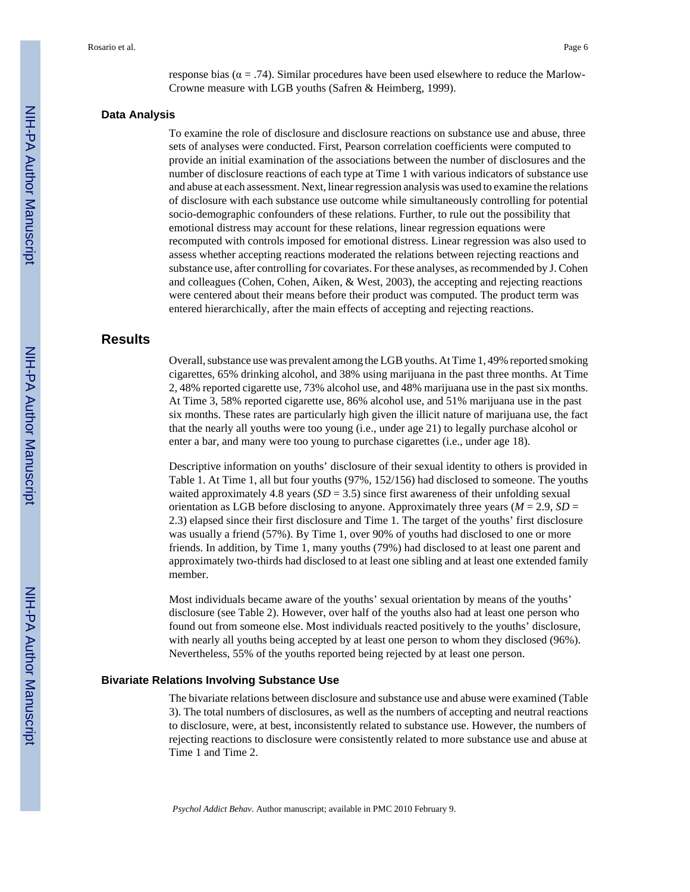response bias ( $\alpha = .74$ ). Similar procedures have been used elsewhere to reduce the Marlow-Crowne measure with LGB youths (Safren & Heimberg, 1999).

#### **Data Analysis**

To examine the role of disclosure and disclosure reactions on substance use and abuse, three sets of analyses were conducted. First, Pearson correlation coefficients were computed to provide an initial examination of the associations between the number of disclosures and the number of disclosure reactions of each type at Time 1 with various indicators of substance use and abuse at each assessment. Next, linear regression analysis was used to examine the relations of disclosure with each substance use outcome while simultaneously controlling for potential socio-demographic confounders of these relations. Further, to rule out the possibility that emotional distress may account for these relations, linear regression equations were recomputed with controls imposed for emotional distress. Linear regression was also used to assess whether accepting reactions moderated the relations between rejecting reactions and substance use, after controlling for covariates. For these analyses, as recommended by J. Cohen and colleagues (Cohen, Cohen, Aiken, & West, 2003), the accepting and rejecting reactions were centered about their means before their product was computed. The product term was entered hierarchically, after the main effects of accepting and rejecting reactions.

#### **Results**

Overall, substance use was prevalent among the LGB youths. At Time 1, 49% reported smoking cigarettes, 65% drinking alcohol, and 38% using marijuana in the past three months. At Time 2, 48% reported cigarette use, 73% alcohol use, and 48% marijuana use in the past six months. At Time 3, 58% reported cigarette use, 86% alcohol use, and 51% marijuana use in the past six months. These rates are particularly high given the illicit nature of marijuana use, the fact that the nearly all youths were too young (i.e., under age 21) to legally purchase alcohol or enter a bar, and many were too young to purchase cigarettes (i.e., under age 18).

Descriptive information on youths' disclosure of their sexual identity to others is provided in Table 1. At Time 1, all but four youths (97%, 152/156) had disclosed to someone. The youths waited approximately 4.8 years  $(SD = 3.5)$  since first awareness of their unfolding sexual orientation as LGB before disclosing to anyone. Approximately three years ( $M = 2.9$ ,  $SD =$ 2.3) elapsed since their first disclosure and Time 1. The target of the youths' first disclosure was usually a friend (57%). By Time 1, over 90% of youths had disclosed to one or more friends. In addition, by Time 1, many youths (79%) had disclosed to at least one parent and approximately two-thirds had disclosed to at least one sibling and at least one extended family member.

Most individuals became aware of the youths' sexual orientation by means of the youths' disclosure (see Table 2). However, over half of the youths also had at least one person who found out from someone else. Most individuals reacted positively to the youths' disclosure, with nearly all youths being accepted by at least one person to whom they disclosed (96%). Nevertheless, 55% of the youths reported being rejected by at least one person.

#### **Bivariate Relations Involving Substance Use**

The bivariate relations between disclosure and substance use and abuse were examined (Table 3). The total numbers of disclosures, as well as the numbers of accepting and neutral reactions to disclosure, were, at best, inconsistently related to substance use. However, the numbers of rejecting reactions to disclosure were consistently related to more substance use and abuse at Time 1 and Time 2.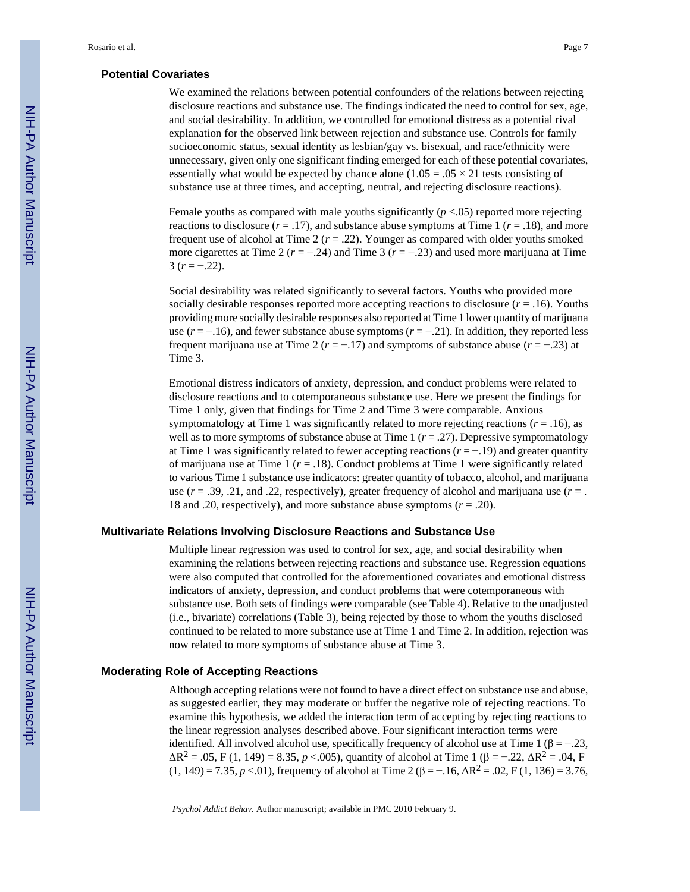#### **Potential Covariates**

We examined the relations between potential confounders of the relations between rejecting disclosure reactions and substance use. The findings indicated the need to control for sex, age, and social desirability. In addition, we controlled for emotional distress as a potential rival explanation for the observed link between rejection and substance use. Controls for family socioeconomic status, sexual identity as lesbian/gay vs. bisexual, and race/ethnicity were unnecessary, given only one significant finding emerged for each of these potential covariates, essentially what would be expected by chance alone ( $1.05 = .05 \times 21$  tests consisting of substance use at three times, and accepting, neutral, and rejecting disclosure reactions).

Female youths as compared with male youths significantly  $(p < .05)$  reported more rejecting reactions to disclosure  $(r = .17)$ , and substance abuse symptoms at Time 1  $(r = .18)$ , and more frequent use of alcohol at Time  $2 (r = .22)$ . Younger as compared with older youths smoked more cigarettes at Time 2 ( $r = -0.24$ ) and Time 3 ( $r = -0.23$ ) and used more marijuana at Time  $3(r = -.22)$ .

Social desirability was related significantly to several factors. Youths who provided more socially desirable responses reported more accepting reactions to disclosure  $(r = .16)$ . Youths providing more socially desirable responses also reported at Time 1 lower quantity of marijuana use  $(r = -16)$ , and fewer substance abuse symptoms  $(r = -21)$ . In addition, they reported less frequent marijuana use at Time 2 ( $r = -17$ ) and symptoms of substance abuse ( $r = -23$ ) at Time 3.

Emotional distress indicators of anxiety, depression, and conduct problems were related to disclosure reactions and to cotemporaneous substance use. Here we present the findings for Time 1 only, given that findings for Time 2 and Time 3 were comparable. Anxious symptomatology at Time 1 was significantly related to more rejecting reactions ( $r = .16$ ), as well as to more symptoms of substance abuse at Time  $1 (r = .27)$ . Depressive symptomatology at Time 1 was significantly related to fewer accepting reactions  $(r = -19)$  and greater quantity of marijuana use at Time 1  $(r = .18)$ . Conduct problems at Time 1 were significantly related to various Time 1 substance use indicators: greater quantity of tobacco, alcohol, and marijuana use  $(r = .39, .21,$  and .22, respectively), greater frequency of alcohol and marijuana use  $(r = .$ 18 and .20, respectively), and more substance abuse symptoms (*r* = .20).

#### **Multivariate Relations Involving Disclosure Reactions and Substance Use**

Multiple linear regression was used to control for sex, age, and social desirability when examining the relations between rejecting reactions and substance use. Regression equations were also computed that controlled for the aforementioned covariates and emotional distress indicators of anxiety, depression, and conduct problems that were cotemporaneous with substance use. Both sets of findings were comparable (see Table 4). Relative to the unadjusted (i.e., bivariate) correlations (Table 3), being rejected by those to whom the youths disclosed continued to be related to more substance use at Time 1 and Time 2. In addition, rejection was now related to more symptoms of substance abuse at Time 3.

#### **Moderating Role of Accepting Reactions**

Although accepting relations were not found to have a direct effect on substance use and abuse, as suggested earlier, they may moderate or buffer the negative role of rejecting reactions. To examine this hypothesis, we added the interaction term of accepting by rejecting reactions to the linear regression analyses described above. Four significant interaction terms were identified. All involved alcohol use, specifically frequency of alcohol use at Time 1 (β =  $-0.23$ ,  $\Delta R^2 = .05$ , F (1, 149) = 8.35, *p* <.005), quantity of alcohol at Time 1 ( $\beta = -.22$ ,  $\Delta R^2 = .04$ , F  $(1, 149) = 7.35, p < .01$ ), frequency of alcohol at Time 2 (β = −.16, ΔR<sup>2</sup> = .02, F (1, 136) = 3.76,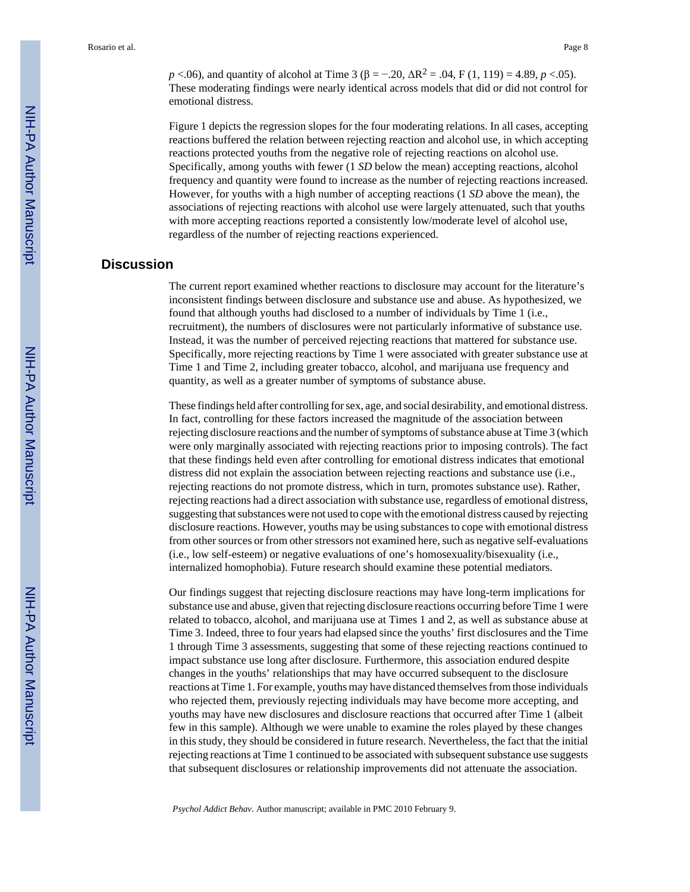$p < .06$ ), and quantity of alcohol at Time 3 ( $\beta = -.20$ ,  $\Delta R^2 = .04$ , F (1, 119) = 4.89, *p* <.05). These moderating findings were nearly identical across models that did or did not control for emotional distress.

Figure 1 depicts the regression slopes for the four moderating relations. In all cases, accepting reactions buffered the relation between rejecting reaction and alcohol use, in which accepting reactions protected youths from the negative role of rejecting reactions on alcohol use. Specifically, among youths with fewer (1 *SD* below the mean) accepting reactions, alcohol frequency and quantity were found to increase as the number of rejecting reactions increased. However, for youths with a high number of accepting reactions (1 *SD* above the mean), the associations of rejecting reactions with alcohol use were largely attenuated, such that youths with more accepting reactions reported a consistently low/moderate level of alcohol use, regardless of the number of rejecting reactions experienced.

#### **Discussion**

The current report examined whether reactions to disclosure may account for the literature's inconsistent findings between disclosure and substance use and abuse. As hypothesized, we found that although youths had disclosed to a number of individuals by Time 1 (i.e., recruitment), the numbers of disclosures were not particularly informative of substance use. Instead, it was the number of perceived rejecting reactions that mattered for substance use. Specifically, more rejecting reactions by Time 1 were associated with greater substance use at Time 1 and Time 2, including greater tobacco, alcohol, and marijuana use frequency and quantity, as well as a greater number of symptoms of substance abuse.

These findings held after controlling for sex, age, and social desirability, and emotional distress. In fact, controlling for these factors increased the magnitude of the association between rejecting disclosure reactions and the number of symptoms of substance abuse at Time 3 (which were only marginally associated with rejecting reactions prior to imposing controls). The fact that these findings held even after controlling for emotional distress indicates that emotional distress did not explain the association between rejecting reactions and substance use (i.e., rejecting reactions do not promote distress, which in turn, promotes substance use). Rather, rejecting reactions had a direct association with substance use, regardless of emotional distress, suggesting that substances were not used to cope with the emotional distress caused by rejecting disclosure reactions. However, youths may be using substances to cope with emotional distress from other sources or from other stressors not examined here, such as negative self-evaluations (i.e., low self-esteem) or negative evaluations of one's homosexuality/bisexuality (i.e., internalized homophobia). Future research should examine these potential mediators.

Our findings suggest that rejecting disclosure reactions may have long-term implications for substance use and abuse, given that rejecting disclosure reactions occurring before Time 1 were related to tobacco, alcohol, and marijuana use at Times 1 and 2, as well as substance abuse at Time 3. Indeed, three to four years had elapsed since the youths' first disclosures and the Time 1 through Time 3 assessments, suggesting that some of these rejecting reactions continued to impact substance use long after disclosure. Furthermore, this association endured despite changes in the youths' relationships that may have occurred subsequent to the disclosure reactions at Time 1. For example, youths may have distanced themselves from those individuals who rejected them, previously rejecting individuals may have become more accepting, and youths may have new disclosures and disclosure reactions that occurred after Time 1 (albeit few in this sample). Although we were unable to examine the roles played by these changes in this study, they should be considered in future research. Nevertheless, the fact that the initial rejecting reactions at Time 1 continued to be associated with subsequent substance use suggests that subsequent disclosures or relationship improvements did not attenuate the association.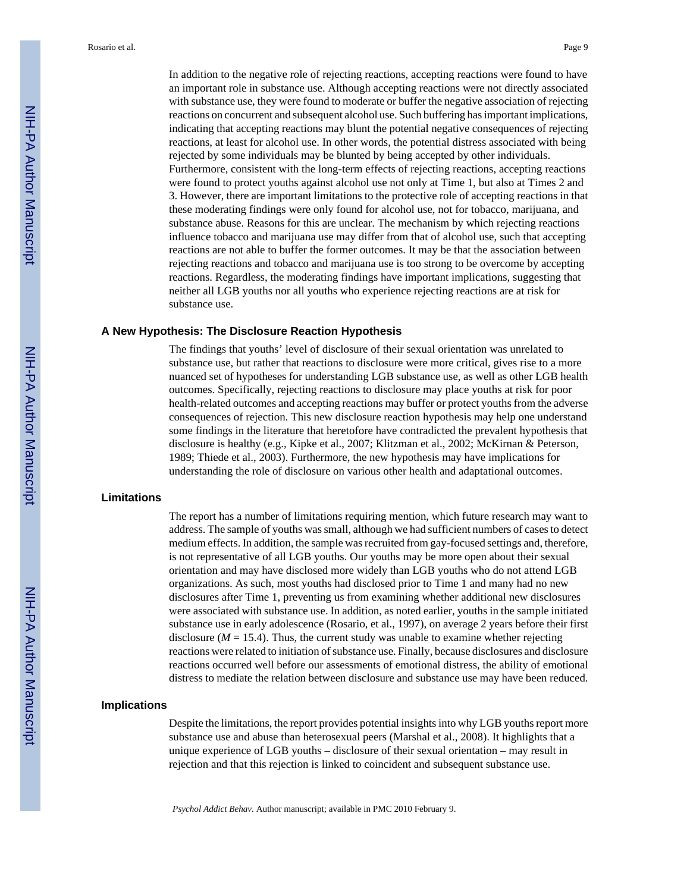In addition to the negative role of rejecting reactions, accepting reactions were found to have an important role in substance use. Although accepting reactions were not directly associated with substance use, they were found to moderate or buffer the negative association of rejecting reactions on concurrent and subsequent alcohol use. Such buffering has important implications, indicating that accepting reactions may blunt the potential negative consequences of rejecting reactions, at least for alcohol use. In other words, the potential distress associated with being rejected by some individuals may be blunted by being accepted by other individuals. Furthermore, consistent with the long-term effects of rejecting reactions, accepting reactions were found to protect youths against alcohol use not only at Time 1, but also at Times 2 and 3. However, there are important limitations to the protective role of accepting reactions in that these moderating findings were only found for alcohol use, not for tobacco, marijuana, and substance abuse. Reasons for this are unclear. The mechanism by which rejecting reactions influence tobacco and marijuana use may differ from that of alcohol use, such that accepting reactions are not able to buffer the former outcomes. It may be that the association between rejecting reactions and tobacco and marijuana use is too strong to be overcome by accepting reactions. Regardless, the moderating findings have important implications, suggesting that neither all LGB youths nor all youths who experience rejecting reactions are at risk for substance use.

#### **A New Hypothesis: The Disclosure Reaction Hypothesis**

The findings that youths' level of disclosure of their sexual orientation was unrelated to substance use, but rather that reactions to disclosure were more critical, gives rise to a more nuanced set of hypotheses for understanding LGB substance use, as well as other LGB health outcomes. Specifically, rejecting reactions to disclosure may place youths at risk for poor health-related outcomes and accepting reactions may buffer or protect youths from the adverse consequences of rejection. This new disclosure reaction hypothesis may help one understand some findings in the literature that heretofore have contradicted the prevalent hypothesis that disclosure is healthy (e.g., Kipke et al., 2007; Klitzman et al., 2002; McKirnan & Peterson, 1989; Thiede et al., 2003). Furthermore, the new hypothesis may have implications for understanding the role of disclosure on various other health and adaptational outcomes.

#### **Limitations**

The report has a number of limitations requiring mention, which future research may want to address. The sample of youths was small, although we had sufficient numbers of cases to detect medium effects. In addition, the sample was recruited from gay-focused settings and, therefore, is not representative of all LGB youths. Our youths may be more open about their sexual orientation and may have disclosed more widely than LGB youths who do not attend LGB organizations. As such, most youths had disclosed prior to Time 1 and many had no new disclosures after Time 1, preventing us from examining whether additional new disclosures were associated with substance use. In addition, as noted earlier, youths in the sample initiated substance use in early adolescence (Rosario, et al., 1997), on average 2 years before their first disclosure ( $M = 15.4$ ). Thus, the current study was unable to examine whether rejecting reactions were related to initiation of substance use. Finally, because disclosures and disclosure reactions occurred well before our assessments of emotional distress, the ability of emotional distress to mediate the relation between disclosure and substance use may have been reduced.

#### **Implications**

Despite the limitations, the report provides potential insights into why LGB youths report more substance use and abuse than heterosexual peers (Marshal et al., 2008). It highlights that a unique experience of LGB youths – disclosure of their sexual orientation – may result in rejection and that this rejection is linked to coincident and subsequent substance use.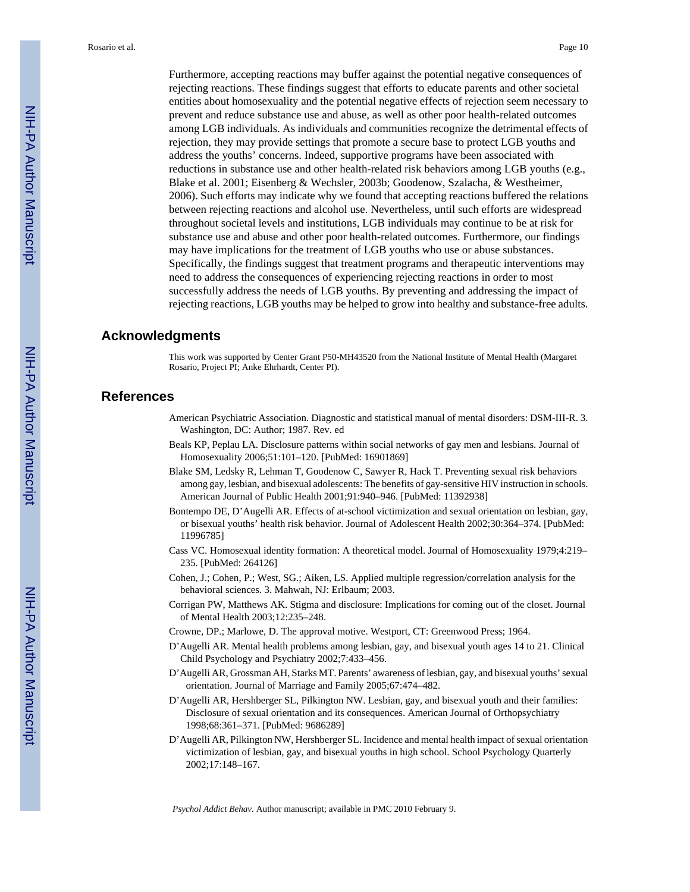Furthermore, accepting reactions may buffer against the potential negative consequences of rejecting reactions. These findings suggest that efforts to educate parents and other societal entities about homosexuality and the potential negative effects of rejection seem necessary to prevent and reduce substance use and abuse, as well as other poor health-related outcomes among LGB individuals. As individuals and communities recognize the detrimental effects of rejection, they may provide settings that promote a secure base to protect LGB youths and address the youths' concerns. Indeed, supportive programs have been associated with reductions in substance use and other health-related risk behaviors among LGB youths (e.g., Blake et al. 2001; Eisenberg & Wechsler, 2003b; Goodenow, Szalacha, & Westheimer, 2006). Such efforts may indicate why we found that accepting reactions buffered the relations between rejecting reactions and alcohol use. Nevertheless, until such efforts are widespread throughout societal levels and institutions, LGB individuals may continue to be at risk for substance use and abuse and other poor health-related outcomes. Furthermore, our findings may have implications for the treatment of LGB youths who use or abuse substances. Specifically, the findings suggest that treatment programs and therapeutic interventions may need to address the consequences of experiencing rejecting reactions in order to most successfully address the needs of LGB youths. By preventing and addressing the impact of rejecting reactions, LGB youths may be helped to grow into healthy and substance-free adults.

#### **Acknowledgments**

This work was supported by Center Grant P50-MH43520 from the National Institute of Mental Health (Margaret Rosario, Project PI; Anke Ehrhardt, Center PI).

#### **References**

- American Psychiatric Association. Diagnostic and statistical manual of mental disorders: DSM-III-R. 3. Washington, DC: Author; 1987. Rev. ed
- Beals KP, Peplau LA. Disclosure patterns within social networks of gay men and lesbians. Journal of Homosexuality 2006;51:101–120. [PubMed: 16901869]
- Blake SM, Ledsky R, Lehman T, Goodenow C, Sawyer R, Hack T. Preventing sexual risk behaviors among gay, lesbian, and bisexual adolescents: The benefits of gay-sensitive HIV instruction in schools. American Journal of Public Health 2001;91:940–946. [PubMed: 11392938]
- Bontempo DE, D'Augelli AR. Effects of at-school victimization and sexual orientation on lesbian, gay, or bisexual youths' health risk behavior. Journal of Adolescent Health 2002;30:364–374. [PubMed: 11996785]
- Cass VC. Homosexual identity formation: A theoretical model. Journal of Homosexuality 1979;4:219– 235. [PubMed: 264126]
- Cohen, J.; Cohen, P.; West, SG.; Aiken, LS. Applied multiple regression/correlation analysis for the behavioral sciences. 3. Mahwah, NJ: Erlbaum; 2003.
- Corrigan PW, Matthews AK. Stigma and disclosure: Implications for coming out of the closet. Journal of Mental Health 2003;12:235–248.
- Crowne, DP.; Marlowe, D. The approval motive. Westport, CT: Greenwood Press; 1964.
- D'Augelli AR. Mental health problems among lesbian, gay, and bisexual youth ages 14 to 21. Clinical Child Psychology and Psychiatry 2002;7:433–456.
- D'Augelli AR, Grossman AH, Starks MT. Parents' awareness of lesbian, gay, and bisexual youths' sexual orientation. Journal of Marriage and Family 2005;67:474–482.
- D'Augelli AR, Hershberger SL, Pilkington NW. Lesbian, gay, and bisexual youth and their families: Disclosure of sexual orientation and its consequences. American Journal of Orthopsychiatry 1998;68:361–371. [PubMed: 9686289]
- D'Augelli AR, Pilkington NW, Hershberger SL. Incidence and mental health impact of sexual orientation victimization of lesbian, gay, and bisexual youths in high school. School Psychology Quarterly 2002;17:148–167.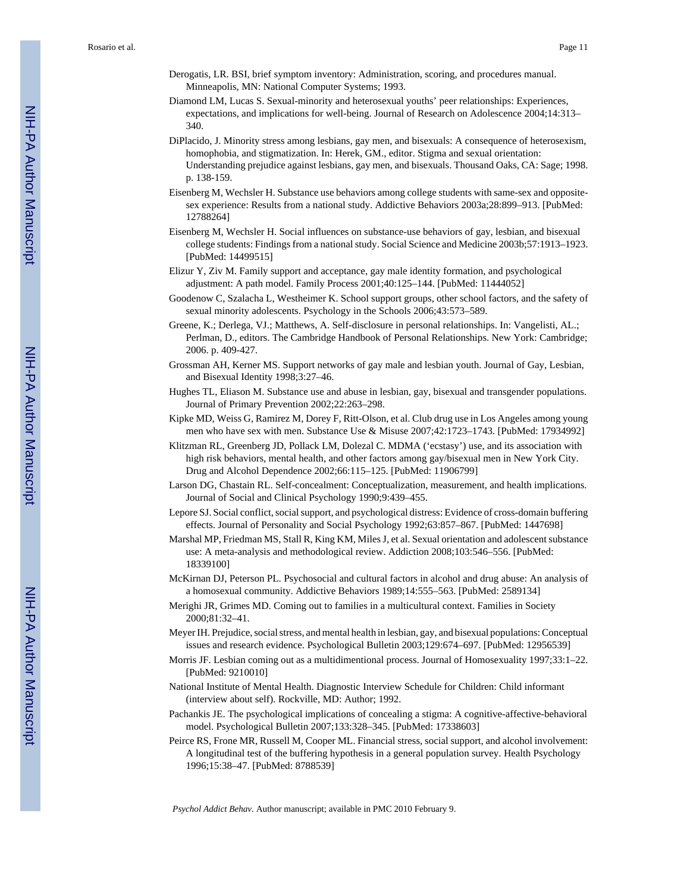- Derogatis, LR. BSI, brief symptom inventory: Administration, scoring, and procedures manual. Minneapolis, MN: National Computer Systems; 1993.
- Diamond LM, Lucas S. Sexual-minority and heterosexual youths' peer relationships: Experiences, expectations, and implications for well-being. Journal of Research on Adolescence 2004;14:313– 340.
- DiPlacido, J. Minority stress among lesbians, gay men, and bisexuals: A consequence of heterosexism, homophobia, and stigmatization. In: Herek, GM., editor. Stigma and sexual orientation: Understanding prejudice against lesbians, gay men, and bisexuals. Thousand Oaks, CA: Sage; 1998. p. 138-159.
- Eisenberg M, Wechsler H. Substance use behaviors among college students with same-sex and oppositesex experience: Results from a national study. Addictive Behaviors 2003a;28:899–913. [PubMed: 12788264]
- Eisenberg M, Wechsler H. Social influences on substance-use behaviors of gay, lesbian, and bisexual college students: Findings from a national study. Social Science and Medicine 2003b;57:1913–1923. [PubMed: 14499515]
- Elizur Y, Ziv M. Family support and acceptance, gay male identity formation, and psychological adjustment: A path model. Family Process 2001;40:125–144. [PubMed: 11444052]
- Goodenow C, Szalacha L, Westheimer K. School support groups, other school factors, and the safety of sexual minority adolescents. Psychology in the Schools 2006;43:573–589.
- Greene, K.; Derlega, VJ.; Matthews, A. Self-disclosure in personal relationships. In: Vangelisti, AL.; Perlman, D., editors. The Cambridge Handbook of Personal Relationships. New York: Cambridge; 2006. p. 409-427.
- Grossman AH, Kerner MS. Support networks of gay male and lesbian youth. Journal of Gay, Lesbian, and Bisexual Identity 1998;3:27–46.
- Hughes TL, Eliason M. Substance use and abuse in lesbian, gay, bisexual and transgender populations. Journal of Primary Prevention 2002;22:263–298.
- Kipke MD, Weiss G, Ramirez M, Dorey F, Ritt-Olson, et al. Club drug use in Los Angeles among young men who have sex with men. Substance Use & Misuse 2007;42:1723–1743. [PubMed: 17934992]
- Klitzman RL, Greenberg JD, Pollack LM, Dolezal C. MDMA ('ecstasy') use, and its association with high risk behaviors, mental health, and other factors among gay/bisexual men in New York City. Drug and Alcohol Dependence 2002;66:115–125. [PubMed: 11906799]
- Larson DG, Chastain RL. Self-concealment: Conceptualization, measurement, and health implications. Journal of Social and Clinical Psychology 1990;9:439–455.
- Lepore SJ. Social conflict, social support, and psychological distress: Evidence of cross-domain buffering effects. Journal of Personality and Social Psychology 1992;63:857–867. [PubMed: 1447698]
- Marshal MP, Friedman MS, Stall R, King KM, Miles J, et al. Sexual orientation and adolescent substance use: A meta-analysis and methodological review. Addiction 2008;103:546–556. [PubMed: 18339100]
- McKirnan DJ, Peterson PL. Psychosocial and cultural factors in alcohol and drug abuse: An analysis of a homosexual community. Addictive Behaviors 1989;14:555–563. [PubMed: 2589134]
- Merighi JR, Grimes MD. Coming out to families in a multicultural context. Families in Society 2000;81:32–41.
- Meyer IH. Prejudice, social stress, and mental health in lesbian, gay, and bisexual populations: Conceptual issues and research evidence. Psychological Bulletin 2003;129:674–697. [PubMed: 12956539]
- Morris JF. Lesbian coming out as a multidimentional process. Journal of Homosexuality 1997;33:1–22. [PubMed: 9210010]
- National Institute of Mental Health. Diagnostic Interview Schedule for Children: Child informant (interview about self). Rockville, MD: Author; 1992.
- Pachankis JE. The psychological implications of concealing a stigma: A cognitive-affective-behavioral model. Psychological Bulletin 2007;133:328–345. [PubMed: 17338603]
- Peirce RS, Frone MR, Russell M, Cooper ML. Financial stress, social support, and alcohol involvement: A longitudinal test of the buffering hypothesis in a general population survey. Health Psychology 1996;15:38–47. [PubMed: 8788539]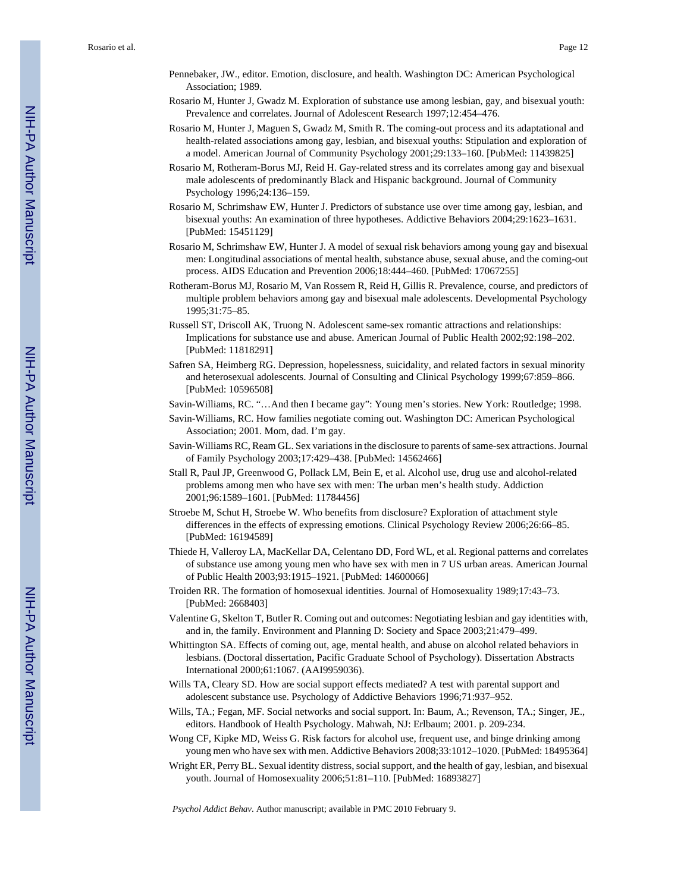- Pennebaker, JW., editor. Emotion, disclosure, and health. Washington DC: American Psychological Association; 1989.
- Rosario M, Hunter J, Gwadz M. Exploration of substance use among lesbian, gay, and bisexual youth: Prevalence and correlates. Journal of Adolescent Research 1997;12:454–476.
- Rosario M, Hunter J, Maguen S, Gwadz M, Smith R. The coming-out process and its adaptational and health-related associations among gay, lesbian, and bisexual youths: Stipulation and exploration of a model. American Journal of Community Psychology 2001;29:133–160. [PubMed: 11439825]
- Rosario M, Rotheram-Borus MJ, Reid H. Gay-related stress and its correlates among gay and bisexual male adolescents of predominantly Black and Hispanic background. Journal of Community Psychology 1996;24:136–159.
- Rosario M, Schrimshaw EW, Hunter J. Predictors of substance use over time among gay, lesbian, and bisexual youths: An examination of three hypotheses. Addictive Behaviors 2004;29:1623–1631. [PubMed: 15451129]
- Rosario M, Schrimshaw EW, Hunter J. A model of sexual risk behaviors among young gay and bisexual men: Longitudinal associations of mental health, substance abuse, sexual abuse, and the coming-out process. AIDS Education and Prevention 2006;18:444–460. [PubMed: 17067255]
- Rotheram-Borus MJ, Rosario M, Van Rossem R, Reid H, Gillis R. Prevalence, course, and predictors of multiple problem behaviors among gay and bisexual male adolescents. Developmental Psychology 1995;31:75–85.
- Russell ST, Driscoll AK, Truong N. Adolescent same-sex romantic attractions and relationships: Implications for substance use and abuse. American Journal of Public Health 2002;92:198–202. [PubMed: 11818291]
- Safren SA, Heimberg RG. Depression, hopelessness, suicidality, and related factors in sexual minority and heterosexual adolescents. Journal of Consulting and Clinical Psychology 1999;67:859–866. [PubMed: 10596508]
- Savin-Williams, RC. "…And then I became gay": Young men's stories. New York: Routledge; 1998.
- Savin-Williams, RC. How families negotiate coming out. Washington DC: American Psychological Association; 2001. Mom, dad. I'm gay.
- Savin-Williams RC, Ream GL. Sex variations in the disclosure to parents of same-sex attractions. Journal of Family Psychology 2003;17:429–438. [PubMed: 14562466]
- Stall R, Paul JP, Greenwood G, Pollack LM, Bein E, et al. Alcohol use, drug use and alcohol-related problems among men who have sex with men: The urban men's health study. Addiction 2001;96:1589–1601. [PubMed: 11784456]
- Stroebe M, Schut H, Stroebe W. Who benefits from disclosure? Exploration of attachment style differences in the effects of expressing emotions. Clinical Psychology Review 2006;26:66–85. [PubMed: 16194589]
- Thiede H, Valleroy LA, MacKellar DA, Celentano DD, Ford WL, et al. Regional patterns and correlates of substance use among young men who have sex with men in 7 US urban areas. American Journal of Public Health 2003;93:1915–1921. [PubMed: 14600066]
- Troiden RR. The formation of homosexual identities. Journal of Homosexuality 1989;17:43–73. [PubMed: 2668403]
- Valentine G, Skelton T, Butler R. Coming out and outcomes: Negotiating lesbian and gay identities with, and in, the family. Environment and Planning D: Society and Space 2003;21:479–499.
- Whittington SA. Effects of coming out, age, mental health, and abuse on alcohol related behaviors in lesbians. (Doctoral dissertation, Pacific Graduate School of Psychology). Dissertation Abstracts International 2000;61:1067. (AAI9959036).
- Wills TA, Cleary SD. How are social support effects mediated? A test with parental support and adolescent substance use. Psychology of Addictive Behaviors 1996;71:937–952.
- Wills, TA.; Fegan, MF. Social networks and social support. In: Baum, A.; Revenson, TA.; Singer, JE., editors. Handbook of Health Psychology. Mahwah, NJ: Erlbaum; 2001. p. 209-234.
- Wong CF, Kipke MD, Weiss G. Risk factors for alcohol use, frequent use, and binge drinking among young men who have sex with men. Addictive Behaviors 2008;33:1012–1020. [PubMed: 18495364]
- Wright ER, Perry BL. Sexual identity distress, social support, and the health of gay, lesbian, and bisexual youth. Journal of Homosexuality 2006;51:81–110. [PubMed: 16893827]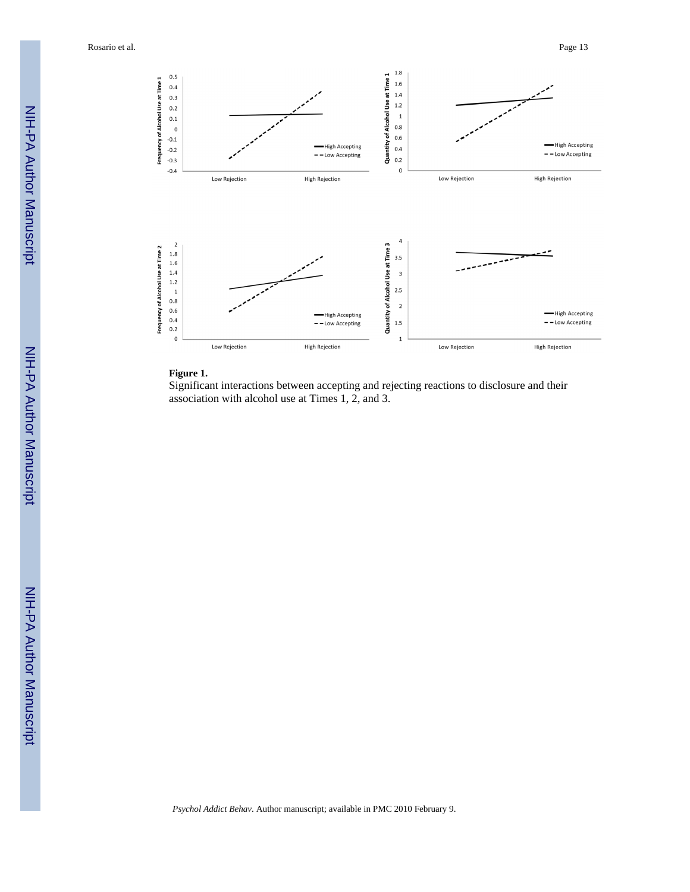Rosario et al. Page 13



#### **Figure 1.**

Significant interactions between accepting and rejecting reactions to disclosure and their association with alcohol use at Times 1, 2, and 3.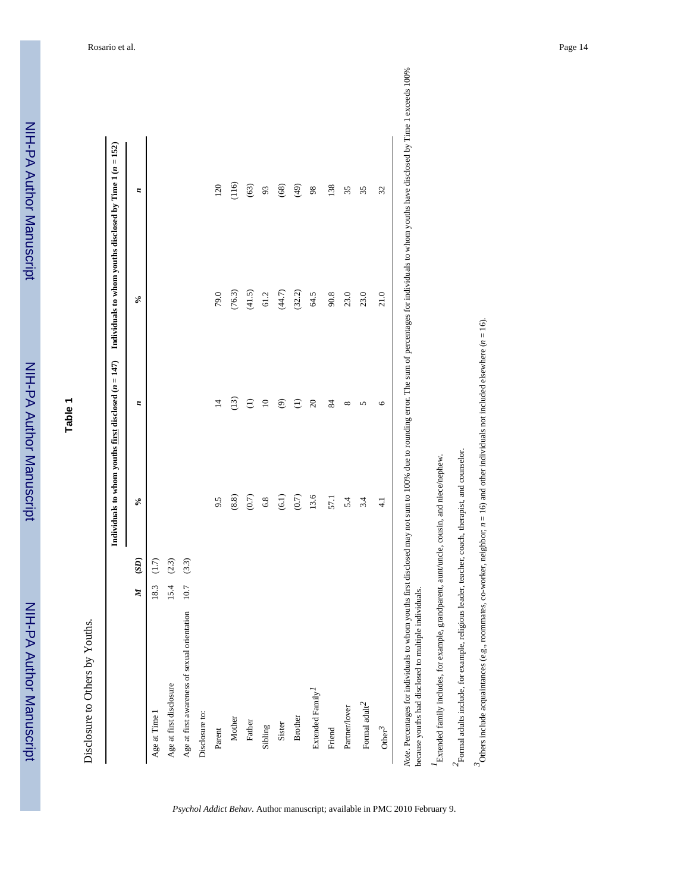| í            |
|--------------|
|              |
|              |
|              |
| <b>Ollin</b> |
|              |
|              |
|              |
|              |
|              |
|              |
|              |
| Ì            |
|              |
|              |
|              |
| ļ            |
|              |
|              |
|              |
|              |
|              |
|              |

**Table 1**

Disclosure to Others by Youths. Disclosure to Others by Youths.

|                                              |                  |                            | Individuals to whom youths first disclosed $(n = 147)$ Individuals to whom youths disclosed by Time 1 $(n = 152)$ |        |       |
|----------------------------------------------|------------------|----------------------------|-------------------------------------------------------------------------------------------------------------------|--------|-------|
|                                              | $\boldsymbol{M}$ | $\left( \text{SD} \right)$ | z<br>ళ                                                                                                            | ళ      | r.    |
| Age at Time 1                                | 18.3             | (1.7)                      |                                                                                                                   |        |       |
| Age at first disclosure                      | 15.4             | (2.3)                      |                                                                                                                   |        |       |
| Age at first awareness of sexual orientation | 10.7             | (3.3)                      |                                                                                                                   |        |       |
| Disclosure to:                               |                  |                            |                                                                                                                   |        |       |
| Parent                                       |                  |                            | $\overline{4}$<br>9.5                                                                                             | 79.0   | 120   |
| Mother                                       |                  |                            | (13)<br>(8.8)                                                                                                     | (76.3) | (116) |
| Father                                       |                  |                            | $\ominus$<br>(0.7)                                                                                                | (41.5) | (63)  |
| Sibling                                      |                  |                            | $\square$<br>6.8                                                                                                  | 61.2   | 93    |
| Sister                                       |                  |                            | $\circledcirc$<br>(6.1)                                                                                           | (44.7) | (68)  |
| <b>Brother</b>                               |                  |                            | $\ominus$<br>(0.7)                                                                                                | (32.2) | (49)  |
| Extended Family <sup>1</sup>                 |                  |                            | $\Omega$<br>13.6                                                                                                  | 64.5   | 98    |
| Friend                                       |                  |                            | 84<br>57.1                                                                                                        | 90.8   | 138   |
| Partner/lover                                |                  |                            | $\infty$<br>5.4                                                                                                   | 23.0   | 35    |
| Formal adult $^2$                            |                  |                            | 5<br>3.4                                                                                                          | 23.0   | 35    |
| Other $^3$                                   |                  |                            | $\circ$<br>$\frac{1}{4}$                                                                                          | 21.0   | 32    |

*Psychol Addict Behav*. Author manuscript; available in PMC 2010 February 9.

ceeds 100% Note. Percentages for individuals to whom youths first disclosed may not sum to 100% due to rounding error. The sum of percentages for individuals to whom youths have disclosed by Time 1 exceeds 100% AVIE. TELEVILLES AN INITIALIZED WITH YOUR THE DECAUSE YOUTHS had disclosed to multiple individuals. because youths had disclosed to multiple individuals.

 $I$  Extended family includes, for example, grandparent, aunt/uncle, cousin, and niece/nephew. *1*Extended family includes, for example, grandparent, aunt/uncle, cousin, and niece/nephew.

 $^2$  Formal adults include, for example, religious leader, teacher, coach, therapist, and counselor. *2*Formal adults include, for example, religious leader, teacher, coach, therapist, and counselor.

 $3$  Others include acquaintances (e.g., roommates, co-worker, neighbor;  $n = 16$ ) and other individuals not included elsewhere ( $n = 16$ ). *3*Others include acquaintances (e.g., roommates, co-worker, neighbor; *n* = 16) and other individuals not included elsewhere (*n* = 16).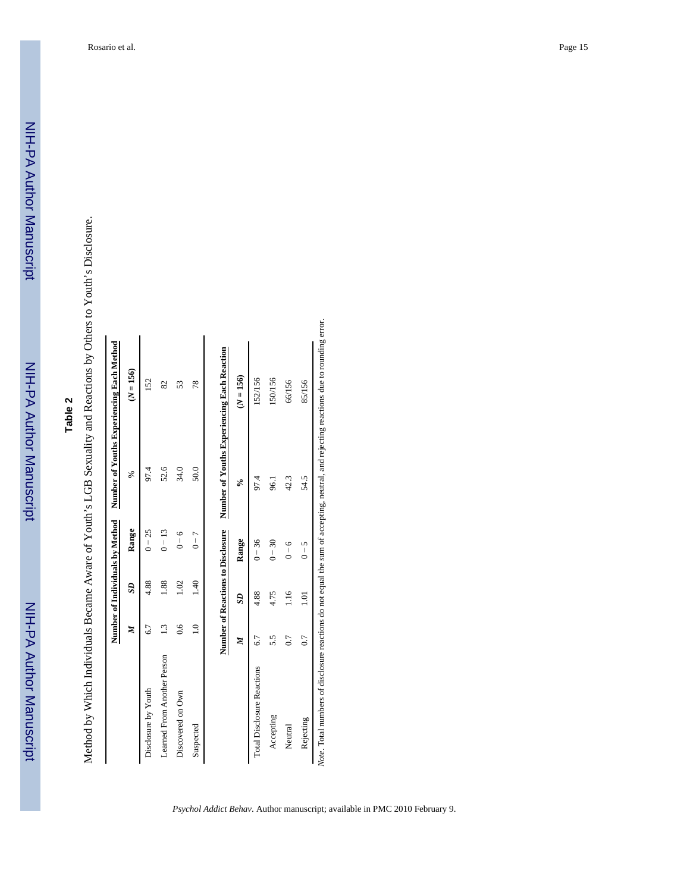# **Table 2**

Method by Which Individuals Became Aware of Youth's LGB Sexuality and Reactions by Others to Youth's Disclosure. Method by Which Individuals Became Aware of Youth's LGB Sexuality and Reactions by Others to Youth's Disclosure.

|                                   |               |                | Number of Individuals by Method   |      | Number of Youths Experiencing Each Method   |
|-----------------------------------|---------------|----------------|-----------------------------------|------|---------------------------------------------|
|                                   | Þ             | S.             | Range                             | ℅    | $(N = 156)$                                 |
| Disclosure by Youth               | 6.7           | 4.88           | $0 - 25$                          | 97.4 | 152                                         |
| Learned From Another Person       | $\frac{3}{2}$ | 1.88           | $0 - 13$                          | 52.6 | 82                                          |
| Discovered on Own                 | 0.6           | 1.02           | $0 - 6$                           | 34.0 | 53                                          |
| Suspected                         | $\ddot{ }$    | $\frac{40}{5}$ | $0 - 7$                           | 50.0 | 78                                          |
|                                   |               |                | Number of Reactions to Disclosure |      | Number of Youths Experiencing Each Reaction |
|                                   | $\mathbb N$   | $\overline{c}$ | Range                             | ℅    | $(N = 156)$                                 |
| <b>Total Disclosure Reactions</b> | 6.7           | 4.88           | $0 - 36$                          | 97.4 | 152/156                                     |
| Accepting                         | 5.5           | 4.75           | $0 - 30$                          | 96.1 | 150/156                                     |
| Neutral                           | 0.7           | $\frac{1}{10}$ | $0 - 6$                           | 42.3 | 66/156                                      |
| Rejecting                         | 0.7           | 1.01           | $0 - 5$                           | 54.5 | 85/156                                      |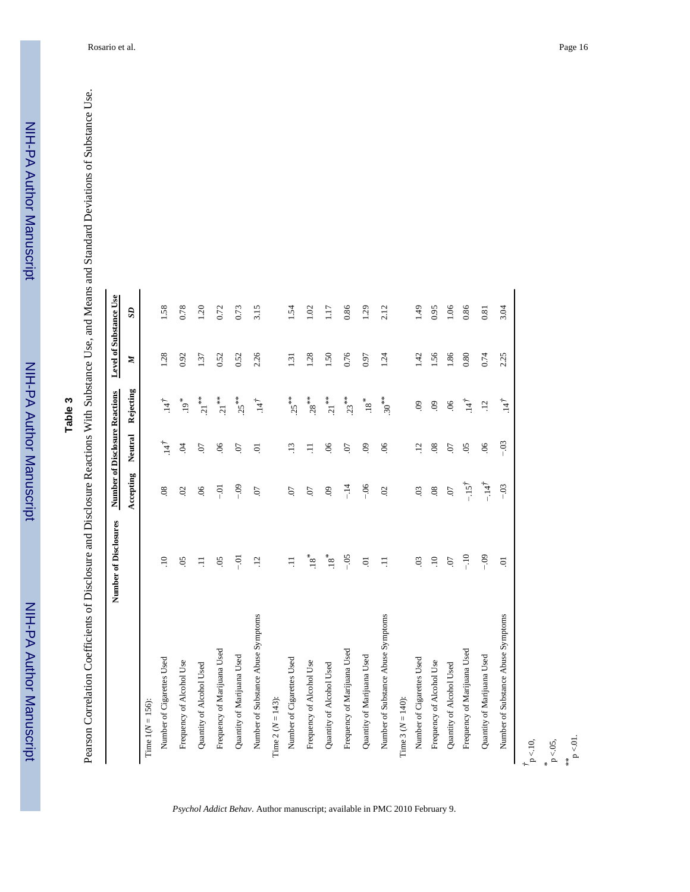NIH-PA Author Manuscript

NIH-PA Author Manuscript

# **Table 3**

Pearson Correlation Coefficients of Disclosure and Disclosure Reactions With Substance Use, and Means and Standard Deviations of Substance Use. Pearson Correlation Coefficients of Disclosure and Disclosure Reactions With Substance Use, and Means and Standard Deviations of Substance Use.

|                                    | Number of Disclosures |                |                  |                     |              |                |
|------------------------------------|-----------------------|----------------|------------------|---------------------|--------------|----------------|
|                                    |                       | Accepting      | Neutral          | Rejecting           | $\mathbb{Z}$ | S <sub>2</sub> |
| Time $1(N = 156)$ :                |                       |                |                  |                     |              |                |
| Number of Cigarettes Used          | $\ddot{=}$            | $\overline{0}$ | 14 <sup>†</sup>  | $\vec{H}$           | 1.28         | 1.58           |
| Frequency of Alcohol Use           | $\overline{0}$        | $\mathcal{O}$  | S.               | $\mathbf{^{19}$     | 0.92         | 0.78           |
| Quantity of Alcohol Used           | $\Xi$                 | $\mathfrak{S}$ | 07               | $21***$             | 1.37         | 1.20           |
| Frequency of Marijuana Used        | $\sim$                | $-0$           | $\mathfrak{S}$   | $21***$             | 0.52         | 0.72           |
| Quantity of Marijuana Used         | $-0$                  | $-0.9$         | $\overline{0}$   | $.25***$            | 0.52         | 0.73           |
| Number of Substance Abuse Symptoms | $\overline{12}$       | 07             | $\Xi$            | $\vec{H}$           | 2.26         | 3.15           |
| Time 2 ( $N = 143$ ):              |                       |                |                  |                     |              |                |
| Number of Cigarettes Used          | Ę                     | $\overline{C}$ | $\overline{.13}$ | $.25***$            | 1.31         | 1.54           |
| Frequency of Alcohol Use           | $18*$                 | .07            | Ę                | $.28***$            | 1.28         | 1.02           |
| Quantity of Alcohol Used           | $\mathbf{^{18}}$      | $\overline{6}$ | $\mathfrak{S}$   | $21$ $^{\ast\ast}$  | 1.50         | 1.17           |
| Frequency of Marijuana Used        | $-0.5$                | $-14$          | 07               | $.23***$            | 0.76         | 0.86           |
| Quantity of Marijuana Used         | $\overline{C}$        | $-06$          | $\odot$          | $18*$               | 0.97         | 1.29           |
| Number of Substance Abuse Symptoms | Ξ                     | $\mathfrak{S}$ | 06               | $.30***$            | 1.24         | 2.12           |
| Time 3 ( $N = 140$ ):              |                       |                |                  |                     |              |                |
| Number of Cigarettes Used          | $\overline{0}$        | $\overline{0}$ | $\overline{12}$  | $\mathcal{S}$       | 1.42         | 1.49           |
| Frequency of Alcohol Use           | $\ddot{=}$            | 08             | 08               | $\ddot{\mathrm{e}}$ | 1.56         | 0.95           |
| Quantity of Alcohol Used           | $\overline{C}$        | $\overline{C}$ | 07               | $\mathfrak{S}$      | 1.86         | 1.06           |
| Frequency of Marijuana Used        | $-10$                 | $-15^{7}$      | 65               | $14^{\dagger}$      | 0.80         | 0.86           |
| Quantity of Marijuana Used         | $-0.9$                | $-14^{7}$      | $\mathfrak{S}$   | $\ddot{5}$          | 0.74         | 0.81           |
| Number of Substance Abuse Symptoms | $\Xi$                 | $-0.3$         | $-03$            | .14 $\dot{t}$       | 2.25         | 3.04           |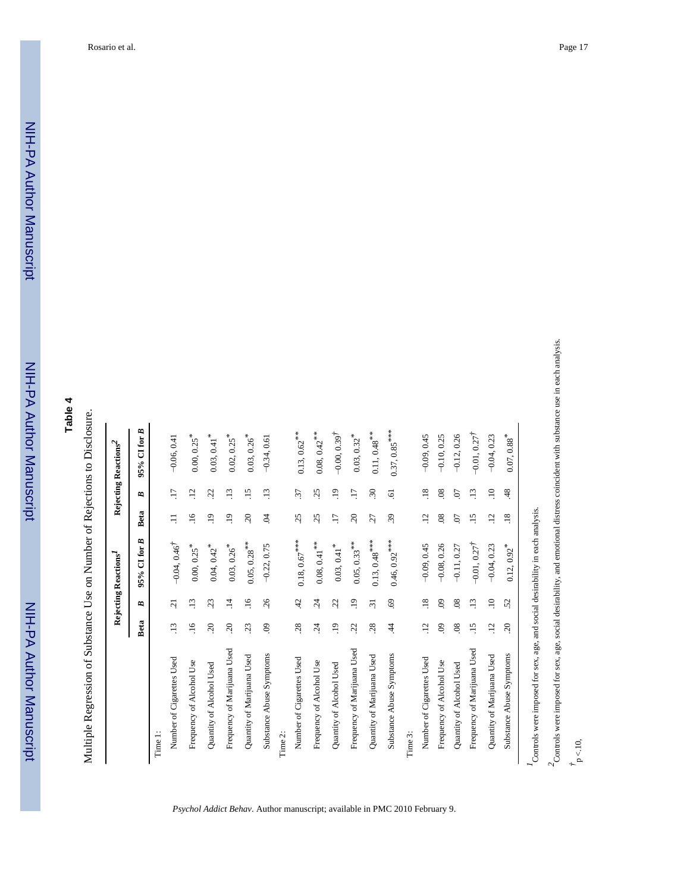## **Table 4**

Multiple Regression of Substance Use on Number of Rejections to Disclosure. Multiple Regression of Substance Use on Number of Rejections to Disclosure.

| Number of Cigarettes Used<br>Time 1: | Beta                | B                | $95%$ CI for B            | Beta             | B                |                           |
|--------------------------------------|---------------------|------------------|---------------------------|------------------|------------------|---------------------------|
|                                      |                     |                  |                           |                  |                  | $95%$ CI for $B$          |
|                                      |                     |                  |                           |                  |                  |                           |
|                                      | $\overline{13}$     | $\overline{c}$   | $-0.04, 0.46^{\dagger}$   | Ę                | $\ddot{1}$       | $-0.06, 0.41$             |
| Frequency of Alcohol Use             | $\frac{6}{1}$       | $\overline{13}$  | $0.00, 0.25$ <sup>*</sup> | $\ddot{ }$       | $\ddot{5}$       | $0.00, 0.25$ <sup>*</sup> |
| Quantity of Alcohol Used             | $\overline{c}$      | 23               | $0.04, 0.42$ <sup>*</sup> | $\ddot{ }$       | 22               | $0.03, 0.41$ <sup>*</sup> |
| Frequency of Marijuana Used          | $\mathcal{L}$       | $\vec{a}$        | $0.03, 0.26$ <sup>*</sup> | $\ddot{0}$       | $\overline{13}$  | $0.02, 0.25$ <sup>*</sup> |
| Quantity of Marijuana Used           | 23                  | $\overline{.16}$ | $0.05, 0.28***$           | $\overline{c}$   | $\overline{.15}$ | $0.03, 0.26$ <sup>*</sup> |
| Substance Abuse Symptoms             | $\ddot{\mathrm{6}}$ | .26              | $-0.22, 0.75$             | $\ddot{9}$       | $\overline{13}$  | $-0.34, 0.61$             |
| Time 2:                              |                     |                  |                           |                  |                  |                           |
| Number of Cigarettes Used            | 28.                 | 42               | $0.18, 0.67***$           | 25               | 37               | $0.13, 0.62***$           |
| Frequency of Alcohol Use             | $\ddot{c}$          | $\ddot{c}$       | $0.08, 0.41***$           | 25               | 25               | $0.08, 0.42***$           |
| Quantity of Alcohol Used             | $\ddot{ }$          | 22               | $0.03, 0.41$ <sup>*</sup> | Li.              | $\overline{.}$   | $-0.00, 0.39^{\dagger}$   |
| Frequency of Marijuana Used          | 22                  | $\ddot{ }$       | $0.05, 0.33***$           | 20               | $\ddot{1}$       | $0.03, 0.32$ <sup>*</sup> |
| Quantity of Marijuana Used           | 28                  | $\overline{31}$  | $0.13, 0.48***$           | 27               | $\ddot{.}30$     | $0.11, 0.48$ **           |
| Substance Abuse Symptoms             | $\dot{4}$           | 69.              | $0.46, 0.92***$           | $\ddot{3}$       | <b>6</b>         | $0.37, 0.85***$           |
| Time 3:                              |                     |                  |                           |                  |                  |                           |
| Number of Cigarettes Used            | $\overline{12}$     | $\overline{.18}$ | $-0.09, 0.45$             | $\overline{12}$  | $\overline{.18}$ | $-0.09, 0.45$             |
| Frequency of Alcohol Use             | $\overline{6}$      | $\overline{6}$   | $-0.08, 0.26$             | 08               | 08               | $-0.10, 0.25$             |
| Quantity of Alcohol Used             | $\overline{08}$     | $\overline{08}$  | $-0.11, 0.27$             | $\overline{0}$   | $\overline{0}$   | $-0.12, 0.26$             |
| Frequency of Marijuana Used          | $\overline{.15}$    | $\overline{13}$  | $-0.01, 0.27^{\dagger}$   | $\overline{.15}$ | $\overline{13}$  | $-0.01, 0.27^{\dagger}$   |
| Quantity of Marijuana Used           | $\overline{12}$     | $\overline{10}$  | $-0.04, 0.23$             | $\overline{12}$  | $\overline{10}$  | $-0.04, 0.23$             |
| Substance Abuse Symptoms             | 20                  | 52               | $0.12, 0.92$ <sup>*</sup> | .18              | 48               | $0.07, 0.88$ <sup>*</sup> |

*Psychol Addict Behav*. Author manuscript; available in PMC 2010 February 9.

*2*Controls were imposed for sex, age, social desirability, and emotional distress coincident with substance use in each analysis.

 $^{2}$ Controls were imposed for sex, age, social desirability, and emotional distress coincident with substance use in each analysis.

*†*p <.10,